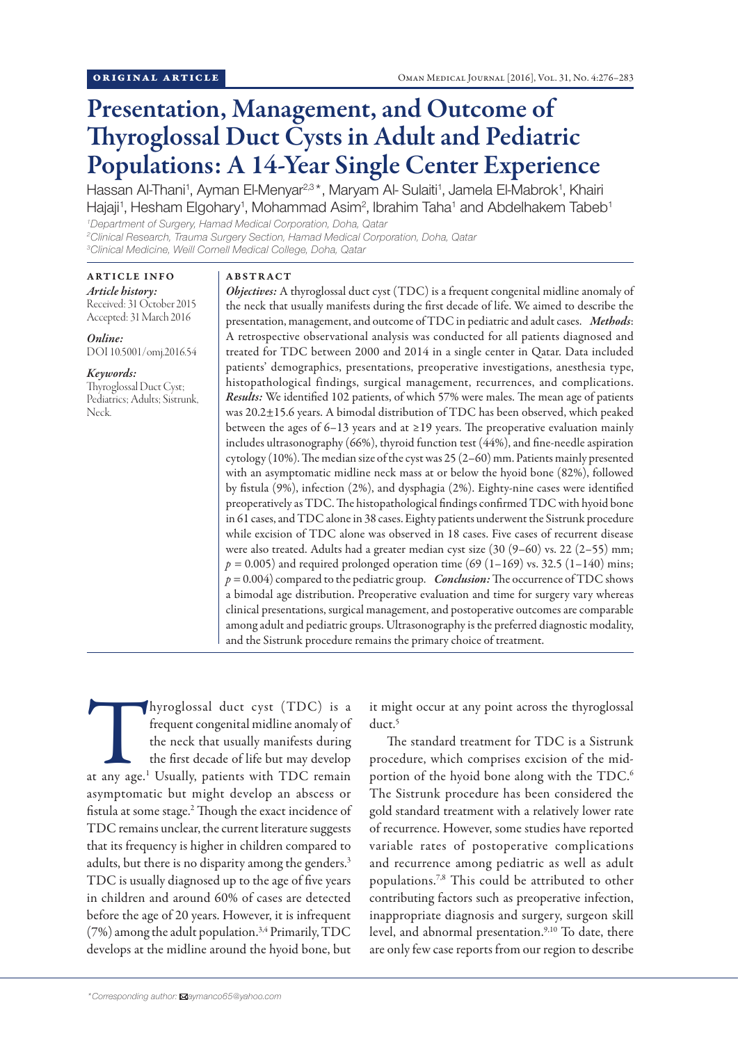# Presentation, Management, and Outcome of Thyroglossal Duct Cysts in Adult and Pediatric Populations: A 14-Year Single Center Experience

Hassan Al-Thani<sup>1</sup>, Ayman El-Menyar<sup>2,3\*</sup>, Maryam Al- Sulaiti<sup>1</sup>, Jamela El-Mabrok<sup>1</sup>, Khairi Hajaji<sup>1</sup>, Hesham Elgohary<sup>1</sup>, Mohammad Asim<sup>2</sup>, Ibrahim Taha<sup>1</sup> and Abdelhakem Tabeb<sup>1</sup> *1 Department of Surgery, Hamad Medical Corporation, Doha, Qatar*

*2 Clinical Research, Trauma Surgery Section, Hamad Medical Corporation, Doha, Qatar 3 Clinical Medicine, Weill Cornell Medical College, Doha, Qatar*

ARTICLE INFO *Article history:* Received: 31 October 2015 Accepted: 31 March 2016

*Online:* DOI 10.5001/omj.2016.54

# *Keywords:*

Thyroglossal Duct Cyst; Pediatrics; Adults; Sistrunk, Neck.

## ABSTRACT

*Objectives:* A thyroglossal duct cyst (TDC) is a frequent congenital midline anomaly of the neck that usually manifests during the first decade of life. We aimed to describe the presentation, management, and outcome of TDC in pediatric and adult cases. *Methods*: A retrospective observational analysis was conducted for all patients diagnosed and treated for TDC between 2000 and 2014 in a single center in Qatar. Data included patients' demographics, presentations, preoperative investigations, anesthesia type, histopathological findings, surgical management, recurrences, and complications. *Results:* We identified 102 patients, of which 57% were males. The mean age of patients was 20.2±15.6 years. A bimodal distribution of TDC has been observed, which peaked between the ages of 6–13 years and at ≥19 years. The preoperative evaluation mainly includes ultrasonography (66%), thyroid function test (44%), and fine-needle aspiration cytology (10%). The median size of the cyst was 25 (2–60) mm. Patients mainly presented with an asymptomatic midline neck mass at or below the hyoid bone (82%), followed by fistula (9%), infection (2%), and dysphagia (2%). Eighty-nine cases were identified preoperatively as TDC. The histopathological findings confirmed TDC with hyoid bone in 61 cases, and TDC alone in 38 cases. Eighty patients underwent the Sistrunk procedure while excision of TDC alone was observed in 18 cases. Five cases of recurrent disease were also treated. Adults had a greater median cyst size (30 (9–60) vs. 22 (2–55) mm;  $p = 0.005$ ) and required prolonged operation time (69 (1–169) vs. 32.5 (1–140) mins; *p =* 0.004) compared to the pediatric group. *Conclusion:* The occurrence of TDC shows a bimodal age distribution. Preoperative evaluation and time for surgery vary whereas clinical presentations, surgical management, and postoperative outcomes are comparable among adult and pediatric groups. Ultrasonography is the preferred diagnostic modality, and the Sistrunk procedure remains the primary choice of treatment.

Thyroglossal duct cyst (TDC) is a frequent congenital midline anomaly of the neck that usually manifests during the first decade of life but may develop at any age.<sup>1</sup> Usually, patients with TDC remain frequent congenital midline anomaly of the neck that usually manifests during the first decade of life but may develop asymptomatic but might develop an abscess or fistula at some stage.2 Though the exact incidence of TDC remains unclear, the current literature suggests that its frequency is higher in children compared to adults, but there is no disparity among the genders.<sup>3</sup> TDC is usually diagnosed up to the age of five years in children and around 60% of cases are detected before the age of 20 years. However, it is infrequent  $(7%)$  among the adult population.<sup>3,4</sup> Primarily, TDC develops at the midline around the hyoid bone, but

it might occur at any point across the thyroglossal duct.<sup>5</sup>

The standard treatment for TDC is a Sistrunk procedure, which comprises excision of the midportion of the hyoid bone along with the TDC.<sup>6</sup> The Sistrunk procedure has been considered the gold standard treatment with a relatively lower rate of recurrence. However, some studies have reported variable rates of postoperative complications and recurrence among pediatric as well as adult populations.7,8 This could be attributed to other contributing factors such as preoperative infection, inappropriate diagnosis and surgery, surgeon skill level, and abnormal presentation.<sup>9,10</sup> To date, there are only few case reports from our region to describe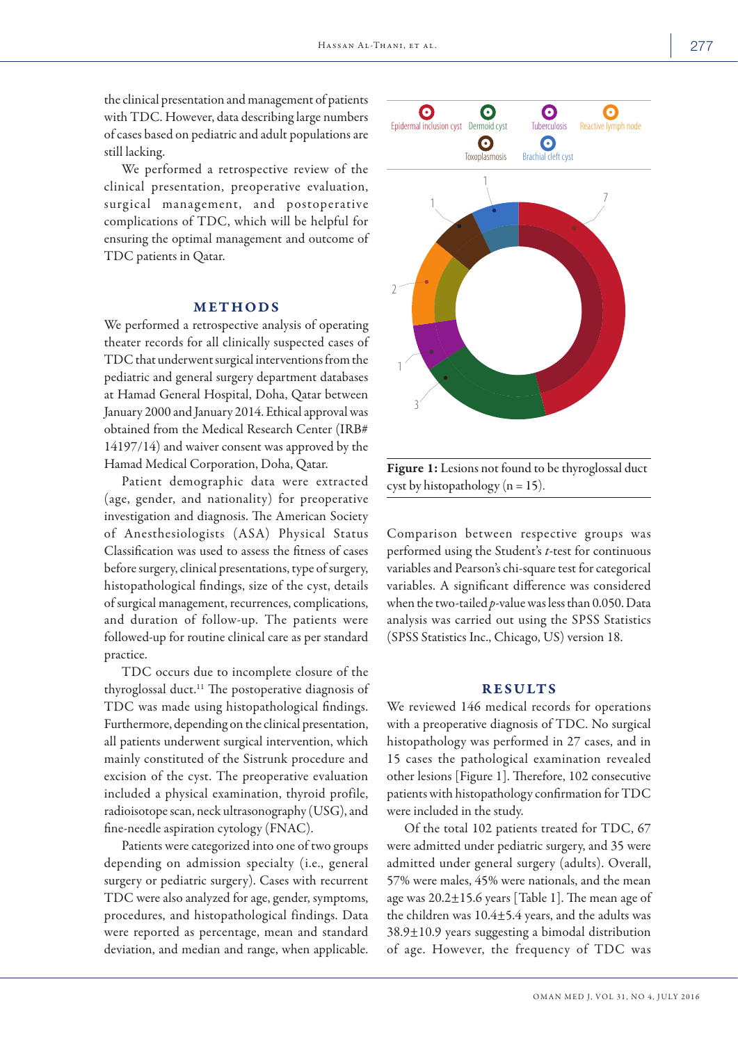the clinical presentation and management of patients with TDC. However, data describing large numbers of cases based on pediatric and adult populations are still lacking.

We performed a retrospective review of the clinical presentation, preoperative evaluation, surgical management, and postoperative complications of TDC, which will be helpful for ensuring the optimal management and outcome of TDC patients in Qatar.

## METHODS

We performed a retrospective analysis of operating theater records for all clinically suspected cases of TDC that underwent surgical interventions from the pediatric and general surgery department databases at Hamad General Hospital, Doha, Qatar between January 2000 and January 2014. Ethical approval was obtained from the Medical Research Center (IRB# 14197/14) and waiver consent was approved by the Hamad Medical Corporation, Doha, Qatar.

Patient demographic data were extracted (age, gender, and nationality) for preoperative investigation and diagnosis. The American Society of Anesthesiologists (ASA) Physical Status Classification was used to assess the fitness of cases before surgery, clinical presentations, type of surgery, histopathological findings, size of the cyst, details of surgical management, recurrences, complications, and duration of follow-up. The patients were followed-up for routine clinical care as per standard practice.

TDC occurs due to incomplete closure of the thyroglossal duct.<sup>11</sup> The postoperative diagnosis of TDC was made using histopathological findings. Furthermore, depending on the clinical presentation, all patients underwent surgical intervention, which mainly constituted of the Sistrunk procedure and excision of the cyst. The preoperative evaluation included a physical examination, thyroid profile, radioisotope scan, neck ultrasonography (USG), and fine-needle aspiration cytology (FNAC).

Patients were categorized into one of two groups depending on admission specialty (i.e., general surgery or pediatric surgery). Cases with recurrent TDC were also analyzed for age, gender, symptoms, procedures, and histopathological findings. Data were reported as percentage, mean and standard deviation, and median and range, when applicable.



Figure 1: Lesions not found to be thyroglossal duct cyst by histopathology ( $n = 15$ ).

Comparison between respective groups was performed using the Student's *t*-test for continuous variables and Pearson's chi-square test for categorical variables. A significant difference was considered when the two-tailed *p*-value was less than 0.050. Data analysis was carried out using the SPSS Statistics (SPSS Statistics Inc., Chicago, US) version 18.

## **RESULTS**

We reviewed 146 medical records for operations with a preoperative diagnosis of TDC. No surgical histopathology was performed in 27 cases, and in 15 cases the pathological examination revealed other lesions [Figure 1]. Therefore, 102 consecutive patients with histopathology confirmation for TDC were included in the study.

Of the total 102 patients treated for TDC, 67 were admitted under pediatric surgery, and 35 were admitted under general surgery (adults). Overall, 57% were males, 45% were nationals, and the mean age was  $20.2 \pm 15.6$  years [Table 1]. The mean age of the children was 10.4±5.4 years, and the adults was 38.9±10.9 years suggesting a bimodal distribution of age. However, the frequency of TDC was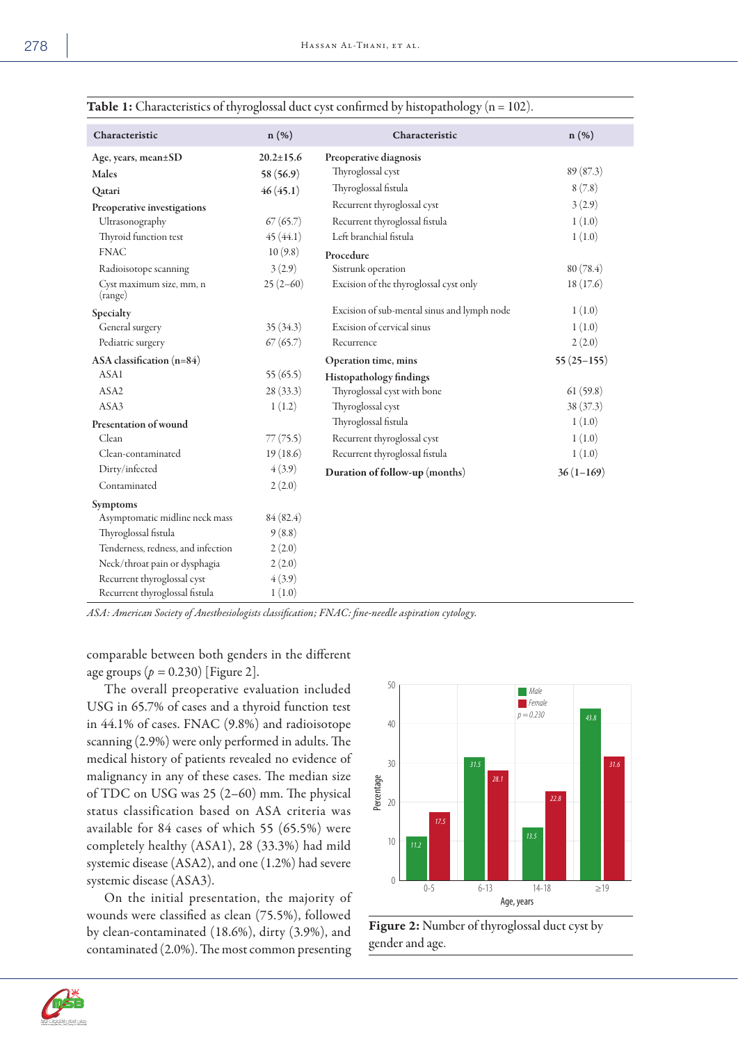| $\overline{\phantom{a}}$ |  |
|--------------------------|--|
|--------------------------|--|

| Characteristic                      | n (%)           | Characteristic                              | n (%)        |
|-------------------------------------|-----------------|---------------------------------------------|--------------|
| Age, years, mean±SD                 | $20.2 \pm 15.6$ | Preoperative diagnosis                      |              |
| Males                               | 58 (56.9)       | Thyroglossal cyst                           | 89(87.3)     |
| Qatari                              | 46(45.1)        | Thyroglossal fistula                        | 8(7.8)       |
| Preoperative investigations         |                 | Recurrent thyroglossal cyst                 | 3(2.9)       |
| Ultrasonography                     | 67(65.7)        | Recurrent thyroglossal fistula              | 1(1.0)       |
| Thyroid function test               | 45(44.1)        | Left branchial fistula                      | 1(1.0)       |
| <b>FNAC</b>                         | 10(9.8)         | Procedure                                   |              |
| Radioisotope scanning               | 3(2.9)          | Sistrunk operation                          | 80(78.4)     |
| Cyst maximum size, mm, n<br>(range) | $25(2-60)$      | Excision of the thyroglossal cyst only      | 18(17.6)     |
| Specialty                           |                 | Excision of sub-mental sinus and lymph node | 1(1.0)       |
| General surgery                     | 35(34.3)        | Excision of cervical sinus                  | 1(1.0)       |
| Pediatric surgery                   | 67(65.7)        | Recurrence                                  | 2(2.0)       |
| ASA classification (n=84)           |                 | Operation time, mins                        | $55(25-155)$ |
| ASA1                                | 55(65.5)        | Histopathology findings                     |              |
| ASA2                                | 28 (33.3)       | Thyroglossal cyst with bone                 | 61(59.8)     |
| ASA3                                | 1(1.2)          | Thyroglossal cyst                           | 38 (37.3)    |
| Presentation of wound               |                 | Thyroglossal fistula                        | 1(1.0)       |
| Clean                               | 77(75.5)        | Recurrent thyroglossal cyst                 | 1(1.0)       |
| Clean-contaminated                  | 19(18.6)        | Recurrent thyroglossal fistula              | 1(1.0)       |
| Dirty/infected                      | 4(3.9)          | Duration of follow-up (months)              | $36(1-169)$  |
| Contaminated                        | 2(2.0)          |                                             |              |
| Symptoms                            |                 |                                             |              |
| Asymptomatic midline neck mass      | 84(82.4)        |                                             |              |
| Thyroglossal fistula                | 9(8.8)          |                                             |              |
| Tenderness, redness, and infection  | 2(2.0)          |                                             |              |
| Neck/throat pain or dysphagia       | 2(2.0)          |                                             |              |
| Recurrent thyroglossal cyst         | 4(3.9)          |                                             |              |
| Recurrent thyroglossal fistula      | 1(1.0)          |                                             |              |

**Table 1:** Characteristics of thyroglossal duct cyst confirmed by histopathology ( $n = 102$ ).

*ASA: American Society of Anesthesiologists classification; FNAC: fine-needle aspiration cytology.*

comparable between both genders in the different age groups  $(p = 0.230)$  [Figure 2].

The overall preoperative evaluation included USG in 65.7% of cases and a thyroid function test in 44.1% of cases. FNAC (9.8%) and radioisotope scanning (2.9%) were only performed in adults. The medical history of patients revealed no evidence of malignancy in any of these cases. The median size of TDC on USG was 25 (2–60) mm. The physical status classification based on ASA criteria was available for 84 cases of which 55 (65.5%) were completely healthy (ASA1), 28 (33.3%) had mild systemic disease (ASA2), and one (1.2%) had severe systemic disease (ASA3).

On the initial presentation, the majority of wounds were classified as clean (75.5%), followed by clean-contaminated (18.6%), dirty (3.9%), and contaminated (2.0%). The most common presenting





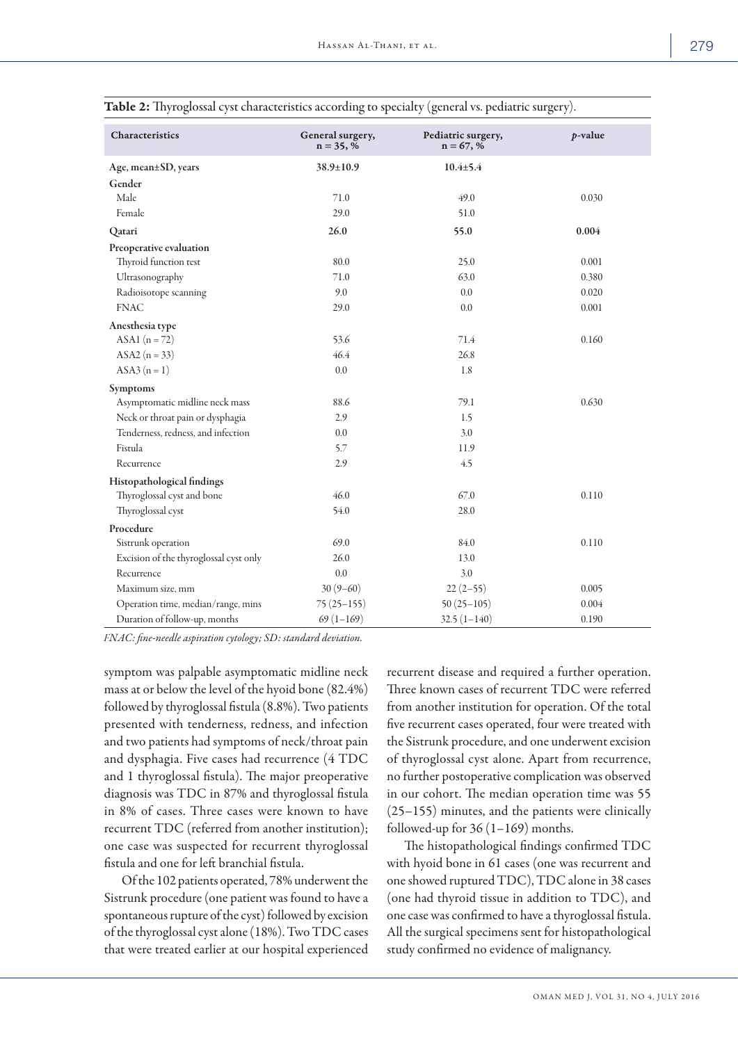| Characteristics                        | General surgery,<br>$n = 35, %$ | Pediatric surgery,<br>$n = 67, %$ | $p$ -value |
|----------------------------------------|---------------------------------|-----------------------------------|------------|
| Age, mean±SD, years                    | 38.9±10.9                       | $10.4 \pm 5.4$                    |            |
| Gender                                 |                                 |                                   |            |
| Male                                   | 71.0                            | 49.0                              | 0.030      |
| Female                                 | 29.0                            | 51.0                              |            |
| Qatari                                 | 26.0                            | 55.0                              | 0.004      |
| Preoperative evaluation                |                                 |                                   |            |
| Thyroid function test                  | 80.0                            | 25.0                              | 0.001      |
| Ultrasonography                        | 71.0                            | 63.0                              | 0.380      |
| Radioisotope scanning                  | 9.0                             | 0.0                               | 0.020      |
| <b>FNAC</b>                            | 29.0                            | 0.0                               | 0.001      |
| Anesthesia type                        |                                 |                                   |            |
| ASA1 $(n = 72)$                        | 53.6                            | 71.4                              | 0.160      |
| ASA2 $(n = 33)$                        | 46.4                            | 26.8                              |            |
| $ASA3 (n = 1)$                         | 0.0                             | 1.8                               |            |
| Symptoms                               |                                 |                                   |            |
| Asymptomatic midline neck mass         | 88.6                            | 79.1                              | 0.630      |
| Neck or throat pain or dysphagia       | 2.9                             | 1.5                               |            |
| Tenderness, redness, and infection     | 0.0                             | 3.0                               |            |
| Fistula                                | 5.7                             | 11.9                              |            |
| Recurrence                             | 2.9                             | 4.5                               |            |
| Histopathological findings             |                                 |                                   |            |
| Thyroglossal cyst and bone             | 46.0                            | 67.0                              | 0.110      |
| Thyroglossal cyst                      | 54.0                            | 28.0                              |            |
| Procedure                              |                                 |                                   |            |
| Sistrunk operation                     | 69.0                            | 84.0                              | 0.110      |
| Excision of the thyroglossal cyst only | 26.0                            | 13.0                              |            |
| Recurrence                             | 0.0                             | 3.0                               |            |
| Maximum size, mm                       | $30(9-60)$                      | $22(2-55)$                        | 0.005      |
| Operation time, median/range, mins     | $75(25-155)$                    | $50(25-105)$                      | 0.004      |
| Duration of follow-up, months          | $69(1-169)$                     | $32.5(1-140)$                     | 0.190      |

Table 2: Thyroglossal cyst characteristics according to specialty (general vs. pediatric surgery).

*FNAC: fine-needle aspiration cytology; SD: standard deviation.*

symptom was palpable asymptomatic midline neck mass at or below the level of the hyoid bone (82.4%) followed by thyroglossal fistula (8.8%). Two patients presented with tenderness, redness, and infection and two patients had symptoms of neck/throat pain and dysphagia. Five cases had recurrence (4 TDC and 1 thyroglossal fistula). The major preoperative diagnosis was TDC in 87% and thyroglossal fistula in 8% of cases. Three cases were known to have recurrent TDC (referred from another institution); one case was suspected for recurrent thyroglossal fistula and one for left branchial fistula.

Of the 102 patients operated, 78% underwent the Sistrunk procedure (one patient was found to have a spontaneous rupture of the cyst) followed by excision of the thyroglossal cyst alone (18%). Two TDC cases that were treated earlier at our hospital experienced recurrent disease and required a further operation. Three known cases of recurrent TDC were referred from another institution for operation. Of the total five recurrent cases operated, four were treated with the Sistrunk procedure, and one underwent excision of thyroglossal cyst alone. Apart from recurrence, no further postoperative complication was observed in our cohort. The median operation time was 55 (25–155) minutes, and the patients were clinically followed-up for  $36(1-169)$  months.

The histopathological findings confirmed TDC with hyoid bone in 61 cases (one was recurrent and one showed ruptured TDC), TDC alone in 38 cases (one had thyroid tissue in addition to TDC), and one case was confirmed to have a thyroglossal fistula. All the surgical specimens sent for histopathological study confirmed no evidence of malignancy.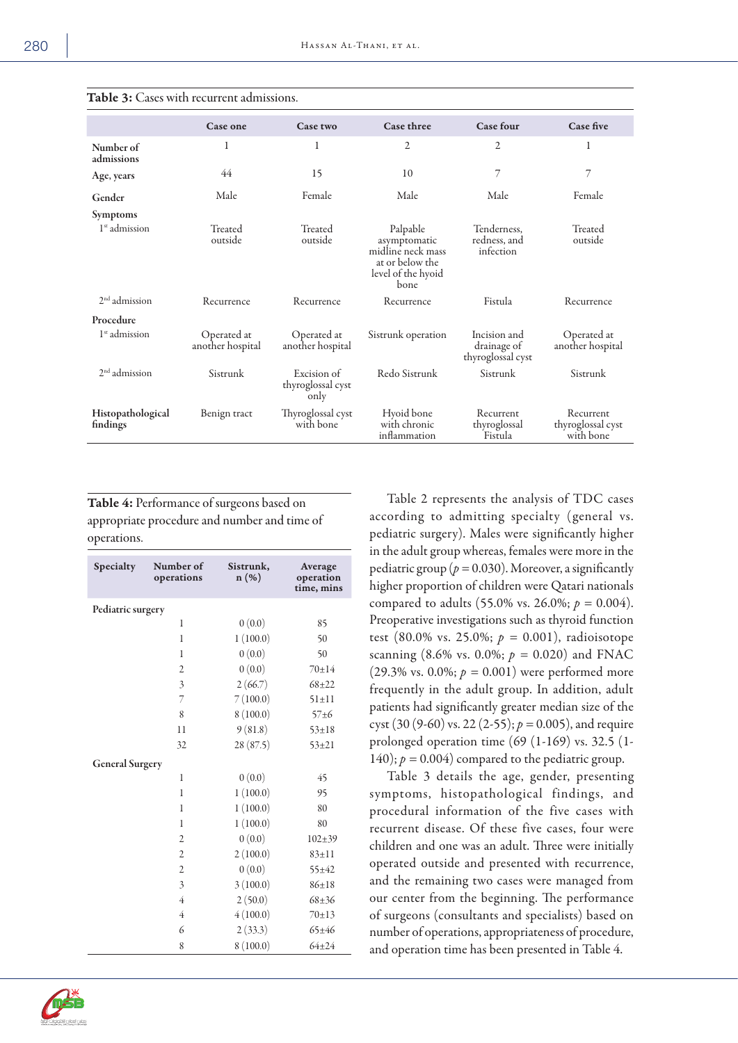|                               | Case one                        | Case two                                 | <b>Case three</b>                                                                              | <b>Case four</b>                                 | <b>Case five</b>                            |
|-------------------------------|---------------------------------|------------------------------------------|------------------------------------------------------------------------------------------------|--------------------------------------------------|---------------------------------------------|
| Number of<br>admissions       | 1                               | 1                                        | 2                                                                                              | 2                                                |                                             |
| Age, years                    | 44                              | 15                                       | 10                                                                                             | 7                                                | 7                                           |
| Gender                        | Male                            | Female                                   | Male                                                                                           | Male                                             | Female                                      |
| <b>Symptoms</b>               |                                 |                                          |                                                                                                |                                                  |                                             |
| 1 <sup>st</sup> admission     | Treated<br>outside              | Treated<br>outside                       | Palpable<br>asymptomatic<br>midline neck mass<br>at or below the<br>level of the hyoid<br>bone | Tenderness.<br>redness, and<br>infection         | Treated<br>outside                          |
| $2nd$ admission               | Recurrence                      | Recurrence                               | Recurrence                                                                                     | Fistula                                          | Recurrence                                  |
| Procedure                     |                                 |                                          |                                                                                                |                                                  |                                             |
| $1st$ admission               | Operated at<br>another hospital | Operated at<br>another hospital          | Sistrunk operation                                                                             | Incision and<br>drainage of<br>thyroglossal cyst | Operated at<br>another hospital             |
| $2nd$ admission               | Sistrunk                        | Excision of<br>thyroglossal cyst<br>only | Redo Sistrunk                                                                                  | Sistrunk                                         | Sistrunk                                    |
| Histopathological<br>findings | Benign tract                    | Thyroglossal cyst<br>with bone           | Hyoid bone<br>with chronic<br>inflammation                                                     | Recurrent<br>thyroglossal<br>Fistula             | Recurrent<br>thyroglossal cyst<br>with bone |

## Table 3: Cases with recurrent admissions.

Table 4: Performance of surgeons based on appropriate procedure and number and time of operations.

| Specialty              | Number of<br>operations | Sistrunk,<br>$n(\%)$ | Average<br>operation<br>time, mins |
|------------------------|-------------------------|----------------------|------------------------------------|
| Pediatric surgery      |                         |                      |                                    |
|                        | $\mathbf{1}$            | 0(0.0)               | 85                                 |
|                        | 1                       | 1(100.0)             | 50                                 |
|                        | $\mathbf{1}$            | 0(0.0)               | 50                                 |
|                        | $\overline{2}$          | 0(0.0)               | $70 + 14$                          |
|                        | 3                       | 2(66.7)              | $68 + 22$                          |
|                        | 7                       | 7(100.0)             | $51 \pm 11$                        |
|                        | 8                       | 8(100.0)             | $57 + 6$                           |
|                        | 11                      | 9(81.8)              | $53 \pm 18$                        |
|                        | 32                      | 28(87.5)             | $53 + 21$                          |
| <b>General Surgery</b> |                         |                      |                                    |
|                        | 1                       | 0(0.0)               | 45                                 |
|                        | 1                       | 1(100.0)             | 95                                 |
|                        | 1                       | 1(100.0)             | 80                                 |
|                        | 1                       | 1(100.0)             | 80                                 |
|                        | $\overline{2}$          | 0(0.0)               | $102 + 39$                         |
|                        | $\overline{2}$          | 2(100.0)             | $83 \pm 11$                        |
|                        | $\overline{2}$          | 0(0.0)               | $55 + 42$                          |
|                        | 3                       | 3(100.0)             | $86 \pm 18$                        |
|                        | 4                       | 2(50.0)              | $68 + 36$                          |
|                        | 4                       | 4(100.0)             | 70±13                              |
|                        | 6                       | 2(33.3)              | $65 \pm 46$                        |
|                        | 8                       | 8(100.0)             | $64 + 24$                          |



Table 3 details the age, gender, presenting symptoms, histopathological findings, and procedural information of the five cases with recurrent disease. Of these five cases, four were children and one was an adult. Three were initially operated outside and presented with recurrence, and the remaining two cases were managed from our center from the beginning. The performance of surgeons (consultants and specialists) based on number of operations, appropriateness of procedure, and operation time has been presented in Table 4.

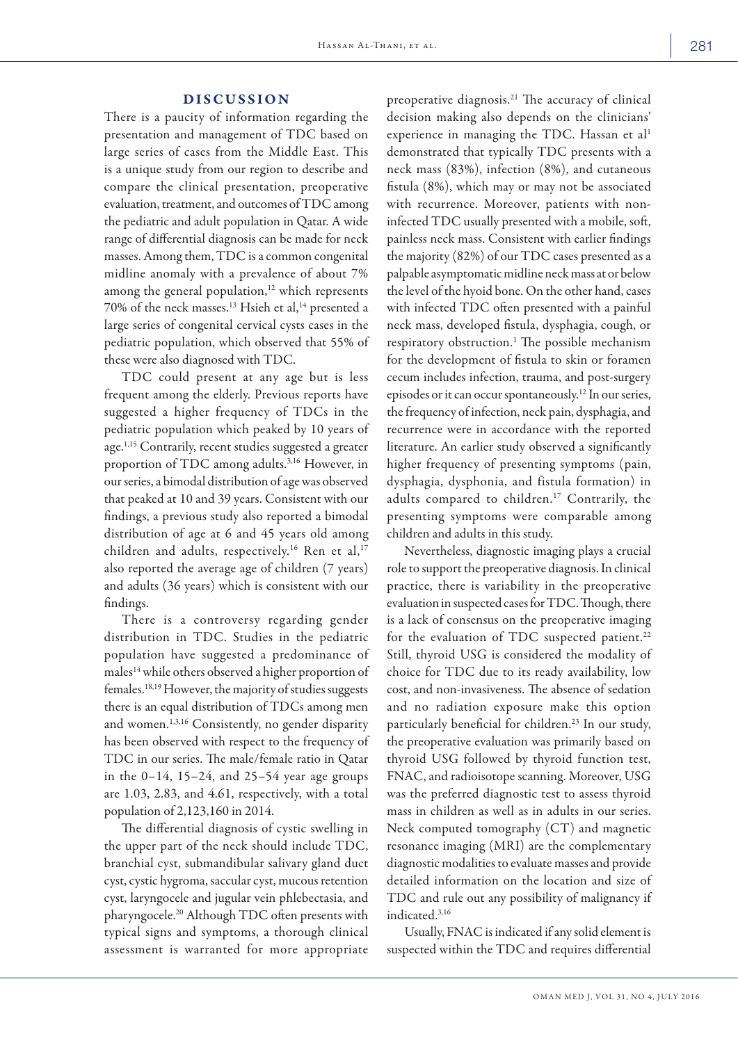## DISCUSSION

There is a paucity of information regarding the presentation and management of TDC based on large series of cases from the Middle East. This is a unique study from our region to describe and compare the clinical presentation, preoperative evaluation, treatment, and outcomes of TDC among the pediatric and adult population in Qatar. A wide range of differential diagnosis can be made for neck masses. Among them, TDC is a common congenital midline anomaly with a prevalence of about 7% among the general population,<sup>12</sup> which represents 70% of the neck masses.13 Hsieh et al,14 presented a large series of congenital cervical cysts cases in the pediatric population, which observed that 55% of these were also diagnosed with TDC.

TDC could present at any age but is less frequent among the elderly. Previous reports have suggested a higher frequency of TDCs in the pediatric population which peaked by 10 years of age.1,15 Contrarily, recent studies suggested a greater proportion of TDC among adults.3,16 However, in our series, a bimodal distribution of age was observed that peaked at 10 and 39 years. Consistent with our findings, a previous study also reported a bimodal distribution of age at 6 and 45 years old among children and adults, respectively.<sup>16</sup> Ren et al,<sup>17</sup> also reported the average age of children (7 years) and adults (36 years) which is consistent with our findings.

There is a controversy regarding gender distribution in TDC. Studies in the pediatric population have suggested a predominance of males14 while others observed a higher proportion of females.18,19 However, the majority of studies suggests there is an equal distribution of TDCs among men and women.1,3,16 Consistently, no gender disparity has been observed with respect to the frequency of TDC in our series. The male/female ratio in Qatar in the  $0-14$ ,  $15-24$ , and  $25-54$  year age groups are 1.03, 2.83, and 4.61, respectively, with a total population of 2,123,160 in 2014.

The differential diagnosis of cystic swelling in the upper part of the neck should include TDC, branchial cyst, submandibular salivary gland duct cyst, cystic hygroma, saccular cyst, mucous retention cyst, laryngocele and jugular vein phlebectasia, and pharyngocele.20 Although TDC often presents with typical signs and symptoms, a thorough clinical assessment is warranted for more appropriate preoperative diagnosis.21 The accuracy of clinical decision making also depends on the clinicians' experience in managing the TDC. Hassan et al<sup>1</sup> demonstrated that typically TDC presents with a neck mass (83%), infection (8%), and cutaneous fistula (8%), which may or may not be associated with recurrence. Moreover, patients with noninfected TDC usually presented with a mobile, soft, painless neck mass. Consistent with earlier findings the majority (82%) of our TDC cases presented as a palpable asymptomatic midline neck mass at or below the level of the hyoid bone. On the other hand, cases with infected TDC often presented with a painful neck mass, developed fistula, dysphagia, cough, or respiratory obstruction.<sup>1</sup> The possible mechanism for the development of fistula to skin or foramen cecum includes infection, trauma, and post-surgery episodes or it can occur spontaneously.12 In our series, the frequency of infection, neck pain, dysphagia, and recurrence were in accordance with the reported literature. An earlier study observed a significantly higher frequency of presenting symptoms (pain, dysphagia, dysphonia, and fistula formation) in adults compared to children.<sup>17</sup> Contrarily, the presenting symptoms were comparable among children and adults in this study.

Nevertheless, diagnostic imaging plays a crucial role to support the preoperative diagnosis. In clinical practice, there is variability in the preoperative evaluation in suspected cases for TDC. Though, there is a lack of consensus on the preoperative imaging for the evaluation of TDC suspected patient.<sup>22</sup> Still, thyroid USG is considered the modality of choice for TDC due to its ready availability, low cost, and non-invasiveness. The absence of sedation and no radiation exposure make this option particularly beneficial for children.23 In our study, the preoperative evaluation was primarily based on thyroid USG followed by thyroid function test, FNAC, and radioisotope scanning. Moreover, USG was the preferred diagnostic test to assess thyroid mass in children as well as in adults in our series. Neck computed tomography (CT) and magnetic resonance imaging (MRI) are the complementary diagnostic modalities to evaluate masses and provide detailed information on the location and size of TDC and rule out any possibility of malignancy if indicated.3,16

Usually, FNAC is indicated if any solid element is suspected within the TDC and requires differential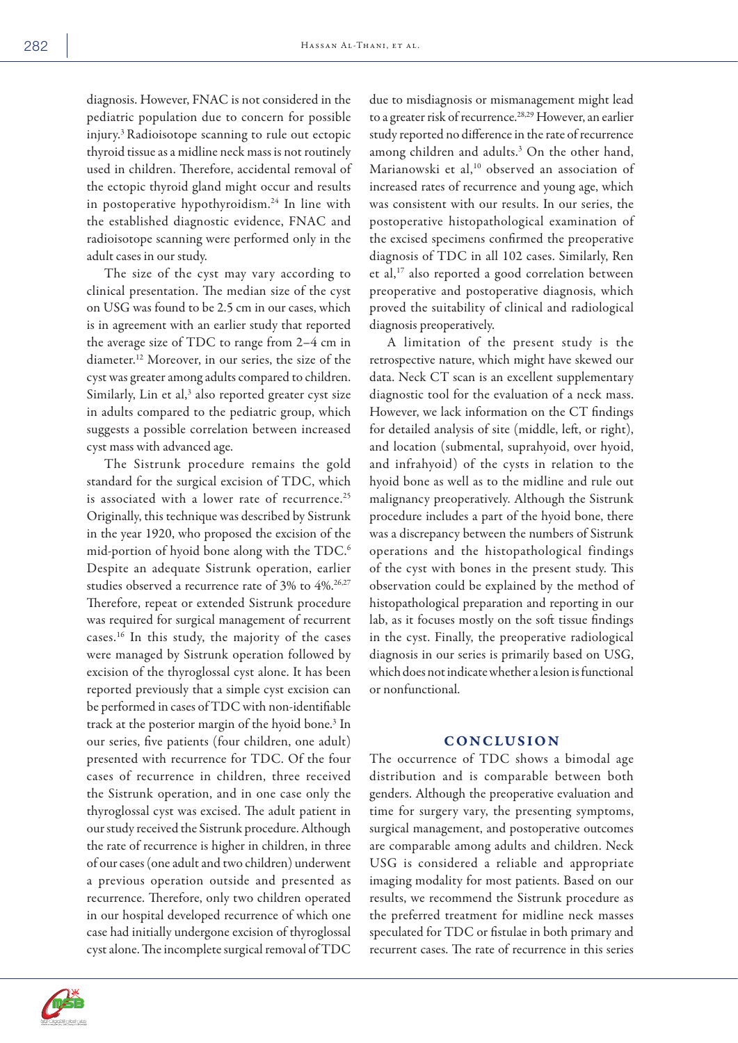diagnosis. However, FNAC is not considered in the pediatric population due to concern for possible injury.3 Radioisotope scanning to rule out ectopic thyroid tissue as a midline neck mass is not routinely used in children. Therefore, accidental removal of the ectopic thyroid gland might occur and results in postoperative hypothyroidism.24 In line with the established diagnostic evidence, FNAC and radioisotope scanning were performed only in the adult cases in our study.

The size of the cyst may vary according to clinical presentation. The median size of the cyst on USG was found to be 2.5 cm in our cases, which is in agreement with an earlier study that reported the average size of TDC to range from 2–4 cm in diameter.12 Moreover, in our series, the size of the cyst was greater among adults compared to children. Similarly, Lin et al, $3$  also reported greater cyst size in adults compared to the pediatric group, which suggests a possible correlation between increased cyst mass with advanced age.

The Sistrunk procedure remains the gold standard for the surgical excision of TDC, which is associated with a lower rate of recurrence.<sup>25</sup> Originally, this technique was described by Sistrunk in the year 1920, who proposed the excision of the mid-portion of hyoid bone along with the TDC.6 Despite an adequate Sistrunk operation, earlier studies observed a recurrence rate of  $3\%$  to  $4\%$ .<sup>26,27</sup> Therefore, repeat or extended Sistrunk procedure was required for surgical management of recurrent cases.16 In this study, the majority of the cases were managed by Sistrunk operation followed by excision of the thyroglossal cyst alone. It has been reported previously that a simple cyst excision can be performed in cases of TDC with non-identifiable track at the posterior margin of the hyoid bone.<sup>3</sup> In our series, five patients (four children, one adult) presented with recurrence for TDC. Of the four cases of recurrence in children, three received the Sistrunk operation, and in one case only the thyroglossal cyst was excised. The adult patient in our study received the Sistrunk procedure. Although the rate of recurrence is higher in children, in three of our cases (one adult and two children) underwent a previous operation outside and presented as recurrence. Therefore, only two children operated in our hospital developed recurrence of which one case had initially undergone excision of thyroglossal cyst alone. The incomplete surgical removal of TDC

due to misdiagnosis or mismanagement might lead to a greater risk of recurrence.28,29 However, an earlier study reported no difference in the rate of recurrence among children and adults.<sup>3</sup> On the other hand, Marianowski et al,<sup>10</sup> observed an association of increased rates of recurrence and young age, which was consistent with our results. In our series, the postoperative histopathological examination of the excised specimens confirmed the preoperative diagnosis of TDC in all 102 cases. Similarly, Ren et al,17 also reported a good correlation between preoperative and postoperative diagnosis, which proved the suitability of clinical and radiological diagnosis preoperatively.

A limitation of the present study is the retrospective nature, which might have skewed our data. Neck CT scan is an excellent supplementary diagnostic tool for the evaluation of a neck mass. However, we lack information on the CT findings for detailed analysis of site (middle, left, or right), and location (submental, suprahyoid, over hyoid, and infrahyoid) of the cysts in relation to the hyoid bone as well as to the midline and rule out malignancy preoperatively. Although the Sistrunk procedure includes a part of the hyoid bone, there was a discrepancy between the numbers of Sistrunk operations and the histopathological findings of the cyst with bones in the present study. This observation could be explained by the method of histopathological preparation and reporting in our lab, as it focuses mostly on the soft tissue findings in the cyst. Finally, the preoperative radiological diagnosis in our series is primarily based on USG, which does not indicate whether a lesion is functional or nonfunctional.

## **CONCLUSION**

The occurrence of TDC shows a bimodal age distribution and is comparable between both genders. Although the preoperative evaluation and time for surgery vary, the presenting symptoms, surgical management, and postoperative outcomes are comparable among adults and children. Neck USG is considered a reliable and appropriate imaging modality for most patients. Based on our results, we recommend the Sistrunk procedure as the preferred treatment for midline neck masses speculated for TDC or fistulae in both primary and recurrent cases. The rate of recurrence in this series